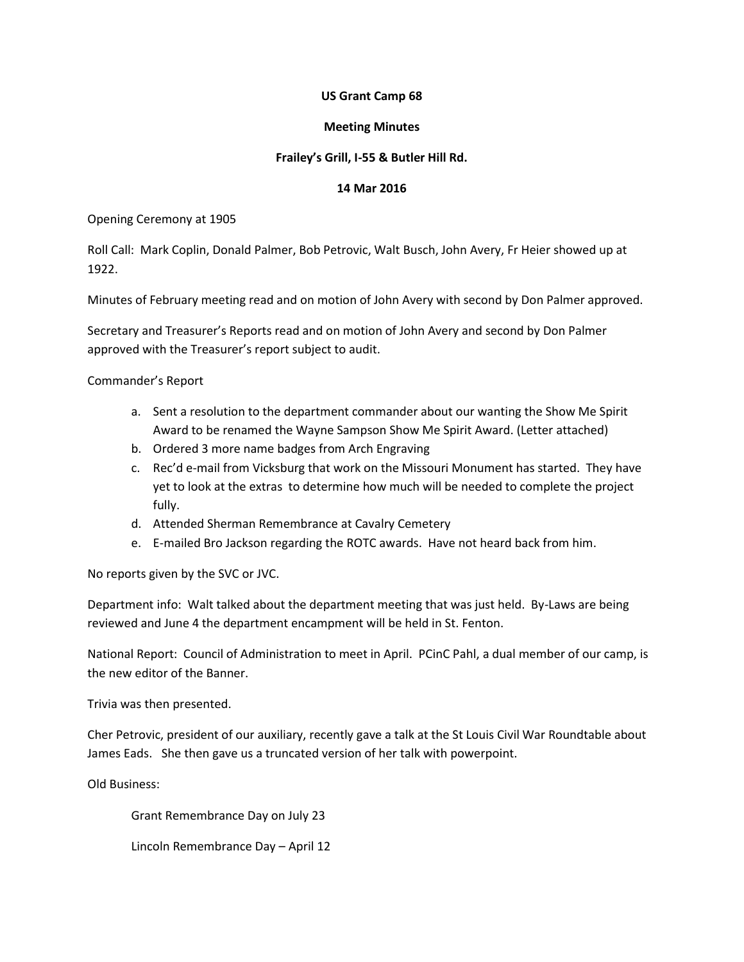## **US Grant Camp 68**

## **Meeting Minutes**

# **Frailey's Grill, I-55 & Butler Hill Rd.**

## **14 Mar 2016**

Opening Ceremony at 1905

Roll Call: Mark Coplin, Donald Palmer, Bob Petrovic, Walt Busch, John Avery, Fr Heier showed up at 1922.

Minutes of February meeting read and on motion of John Avery with second by Don Palmer approved.

Secretary and Treasurer's Reports read and on motion of John Avery and second by Don Palmer approved with the Treasurer's report subject to audit.

Commander's Report

- a. Sent a resolution to the department commander about our wanting the Show Me Spirit Award to be renamed the Wayne Sampson Show Me Spirit Award. (Letter attached)
- b. Ordered 3 more name badges from Arch Engraving
- c. Rec'd e-mail from Vicksburg that work on the Missouri Monument has started. They have yet to look at the extras to determine how much will be needed to complete the project fully.
- d. Attended Sherman Remembrance at Cavalry Cemetery
- e. E-mailed Bro Jackson regarding the ROTC awards. Have not heard back from him.

No reports given by the SVC or JVC.

Department info: Walt talked about the department meeting that was just held. By-Laws are being reviewed and June 4 the department encampment will be held in St. Fenton.

National Report: Council of Administration to meet in April. PCinC Pahl, a dual member of our camp, is the new editor of the Banner.

Trivia was then presented.

Cher Petrovic, president of our auxiliary, recently gave a talk at the St Louis Civil War Roundtable about James Eads. She then gave us a truncated version of her talk with powerpoint.

Old Business:

Grant Remembrance Day on July 23

Lincoln Remembrance Day – April 12